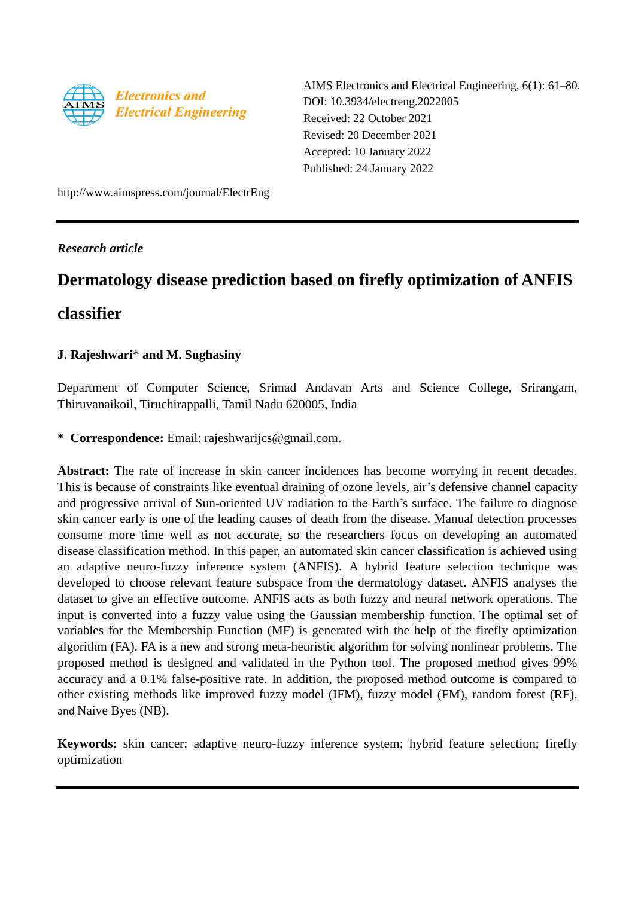

AIMS Electronics and Electrical Engineering, 6(1): 61–80. DOI: 10.3934/electreng.2022005 Received: 22 October 2021 Revised: 20 December 2021 Accepted: 10 January 2022 Published: 24 January 2022

http://www.aimspress.com/journal/ElectrEng

*Research article*

# **Dermatology disease prediction based on firefly optimization of ANFIS**

## **classifier**

## **J. Rajeshwari**\* **and M. Sughasiny**

Department of Computer Science, Srimad Andavan Arts and Science College, Srirangam, Thiruvanaikoil, Tiruchirappalli, Tamil Nadu 620005, India

**\* Correspondence:** Email: rajeshwarijcs@gmail.com.

Abstract: The rate of increase in skin cancer incidences has become worrying in recent decades. This is because of constraints like eventual draining of ozone levels, air's defensive channel capacity and progressive arrival of Sun-oriented UV radiation to the Earth's surface. The failure to diagnose skin cancer early is one of the leading causes of death from the disease. Manual detection processes consume more time well as not accurate, so the researchers focus on developing an automated disease classification method. In this paper, an automated skin cancer classification is achieved using an adaptive neuro-fuzzy inference system (ANFIS). A hybrid feature selection technique was developed to choose relevant feature subspace from the dermatology dataset. ANFIS analyses the dataset to give an effective outcome. ANFIS acts as both fuzzy and neural network operations. The input is converted into a fuzzy value using the Gaussian membership function. The optimal set of variables for the Membership Function (MF) is generated with the help of the firefly optimization algorithm (FA). FA is a new and strong meta-heuristic algorithm for solving nonlinear problems. The proposed method is designed and validated in the Python tool. The proposed method gives 99% accuracy and a 0.1% false-positive rate. In addition, the proposed method outcome is compared to other existing methods like improved fuzzy model (IFM), fuzzy model (FM), random forest (RF), and Naive Byes (NB).

**Keywords:** skin cancer; adaptive neuro-fuzzy inference system; hybrid feature selection; firefly optimization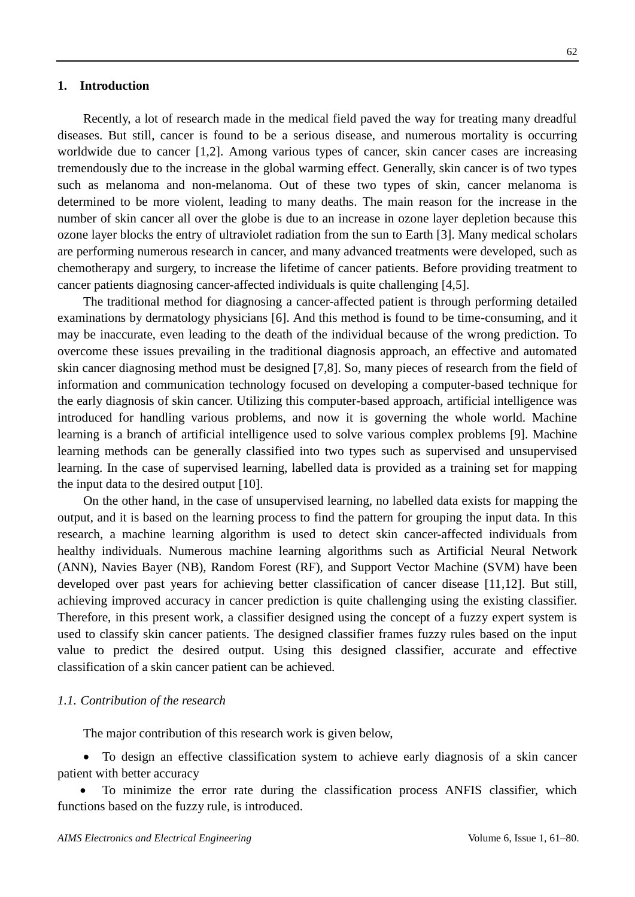62

Recently, a lot of research made in the medical field paved the way for treating many dreadful diseases. But still, cancer is found to be a serious disease, and numerous mortality is occurring worldwide due to cancer [1,2]. Among various types of cancer, skin cancer cases are increasing tremendously due to the increase in the global warming effect. Generally, skin cancer is of two types such as melanoma and non-melanoma. Out of these two types of skin, cancer melanoma is determined to be more violent, leading to many deaths. The main reason for the increase in the number of skin cancer all over the globe is due to an increase in ozone layer depletion because this ozone layer blocks the entry of ultraviolet radiation from the sun to Earth [3]. Many medical scholars are performing numerous research in cancer, and many advanced treatments were developed, such as chemotherapy and surgery, to increase the lifetime of cancer patients. Before providing treatment to cancer patients diagnosing cancer-affected individuals is quite challenging [4,5].

The traditional method for diagnosing a cancer-affected patient is through performing detailed examinations by dermatology physicians [6]. And this method is found to be time-consuming, and it may be inaccurate, even leading to the death of the individual because of the wrong prediction. To overcome these issues prevailing in the traditional diagnosis approach, an effective and automated skin cancer diagnosing method must be designed [7,8]. So, many pieces of research from the field of information and communication technology focused on developing a computer-based technique for the early diagnosis of skin cancer. Utilizing this computer-based approach, artificial intelligence was introduced for handling various problems, and now it is governing the whole world. Machine learning is a branch of artificial intelligence used to solve various complex problems [9]. Machine learning methods can be generally classified into two types such as supervised and unsupervised learning. In the case of supervised learning, labelled data is provided as a training set for mapping the input data to the desired output [10].

On the other hand, in the case of unsupervised learning, no labelled data exists for mapping the output, and it is based on the learning process to find the pattern for grouping the input data. In this research, a machine learning algorithm is used to detect skin cancer-affected individuals from healthy individuals. Numerous machine learning algorithms such as Artificial Neural Network (ANN), Navies Bayer (NB), Random Forest (RF), and Support Vector Machine (SVM) have been developed over past years for achieving better classification of cancer disease [11,12]. But still, achieving improved accuracy in cancer prediction is quite challenging using the existing classifier. Therefore, in this present work, a classifier designed using the concept of a fuzzy expert system is used to classify skin cancer patients. The designed classifier frames fuzzy rules based on the input value to predict the desired output. Using this designed classifier, accurate and effective classification of a skin cancer patient can be achieved.

#### *1.1. Contribution of the research*

The major contribution of this research work is given below,

 To design an effective classification system to achieve early diagnosis of a skin cancer patient with better accuracy

 To minimize the error rate during the classification process ANFIS classifier, which functions based on the fuzzy rule, is introduced.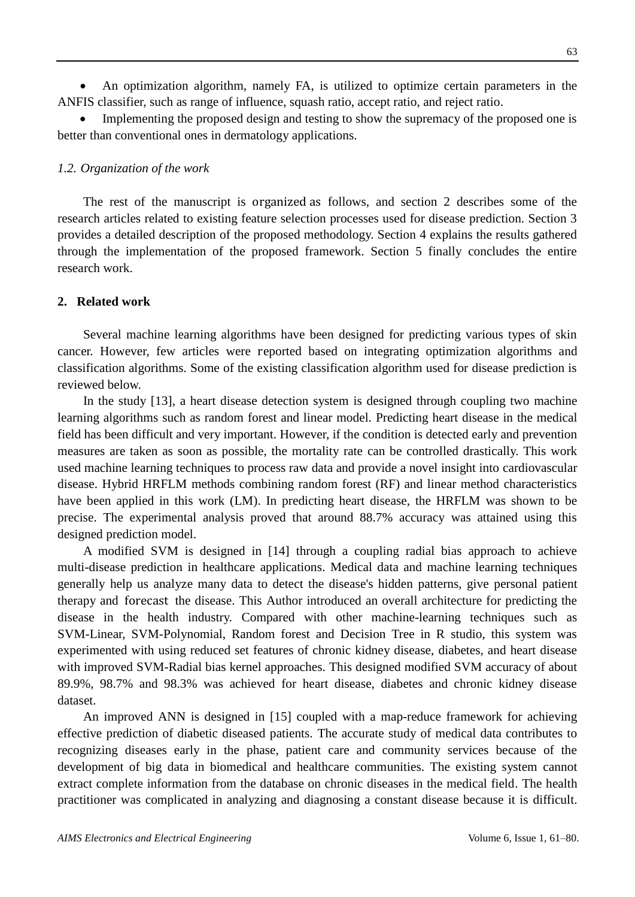An optimization algorithm, namely FA, is utilized to optimize certain parameters in the ANFIS classifier, such as range of influence, squash ratio, accept ratio, and reject ratio.

 Implementing the proposed design and testing to show the supremacy of the proposed one is better than conventional ones in dermatology applications.

## *1.2. Organization of the work*

The rest of the manuscript is organized as follows, and section 2 describes some of the research articles related to existing feature selection processes used for disease prediction. Section 3 provides a detailed description of the proposed methodology. Section 4 explains the results gathered through the implementation of the proposed framework. Section 5 finally concludes the entire research work.

### **2. Related work**

Several machine learning algorithms have been designed for predicting various types of skin cancer. However, few articles were reported based on integrating optimization algorithms and classification algorithms. Some of the existing classification algorithm used for disease prediction is reviewed below.

In the study [13], a heart disease detection system is designed through coupling two machine learning algorithms such as random forest and linear model. Predicting heart disease in the medical field has been difficult and very important. However, if the condition is detected early and prevention measures are taken as soon as possible, the mortality rate can be controlled drastically. This work used machine learning techniques to process raw data and provide a novel insight into cardiovascular disease. Hybrid HRFLM methods combining random forest (RF) and linear method characteristics have been applied in this work (LM). In predicting heart disease, the HRFLM was shown to be precise. The experimental analysis proved that around 88.7% accuracy was attained using this designed prediction model.

A modified SVM is designed in [14] through a coupling radial bias approach to achieve multi-disease prediction in healthcare applications. Medical data and machine learning techniques generally help us analyze many data to detect the disease's hidden patterns, give personal patient therapy and forecast the disease. This Author introduced an overall architecture for predicting the disease in the health industry. Compared with other machine-learning techniques such as SVM-Linear, SVM-Polynomial, Random forest and Decision Tree in R studio, this system was experimented with using reduced set features of chronic kidney disease, diabetes, and heart disease with improved SVM-Radial bias kernel approaches. This designed modified SVM accuracy of about 89.9%, 98.7% and 98.3% was achieved for heart disease, diabetes and chronic kidney disease dataset.

An improved ANN is designed in [15] coupled with a map-reduce framework for achieving effective prediction of diabetic diseased patients. The accurate study of medical data contributes to recognizing diseases early in the phase, patient care and community services because of the development of big data in biomedical and healthcare communities. The existing system cannot extract complete information from the database on chronic diseases in the medical field. The health practitioner was complicated in analyzing and diagnosing a constant disease because it is difficult.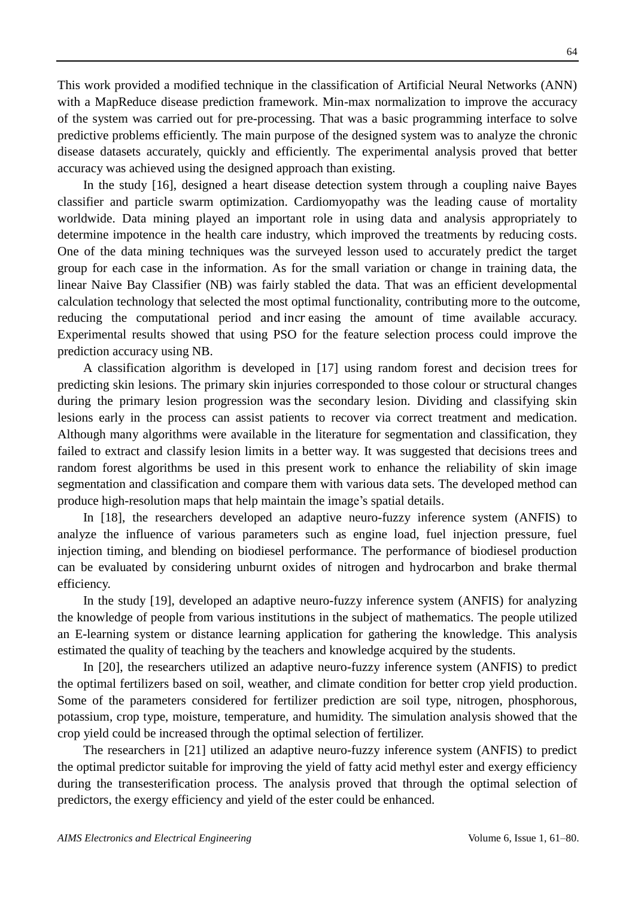This work provided a modified technique in the classification of Artificial Neural Networks (ANN) with a MapReduce disease prediction framework. Min-max normalization to improve the accuracy of the system was carried out for pre-processing. That was a basic programming interface to solve predictive problems efficiently. The main purpose of the designed system was to analyze the chronic disease datasets accurately, quickly and efficiently. The experimental analysis proved that better accuracy was achieved using the designed approach than existing.

In the study [16], designed a heart disease detection system through a coupling naive Bayes classifier and particle swarm optimization. Cardiomyopathy was the leading cause of mortality worldwide. Data mining played an important role in using data and analysis appropriately to determine impotence in the health care industry, which improved the treatments by reducing costs. One of the data mining techniques was the surveyed lesson used to accurately predict the target group for each case in the information. As for the small variation or change in training data, the linear Naive Bay Classifier (NB) was fairly stabled the data. That was an efficient developmental calculation technology that selected the most optimal functionality, contributing more to the outcome, reducing the computational period and incr easing the amount of time available accuracy. Experimental results showed that using PSO for the feature selection process could improve the prediction accuracy using NB.

A classification algorithm is developed in [17] using random forest and decision trees for predicting skin lesions. The primary skin injuries corresponded to those colour or structural changes during the primary lesion progression was the secondary lesion. Dividing and classifying skin lesions early in the process can assist patients to recover via correct treatment and medication. Although many algorithms were available in the literature for segmentation and classification, they failed to extract and classify lesion limits in a better way. It was suggested that decisions trees and random forest algorithms be used in this present work to enhance the reliability of skin image segmentation and classification and compare them with various data sets. The developed method can produce high-resolution maps that help maintain the image's spatial details.

In [18], the researchers developed an adaptive neuro-fuzzy inference system (ANFIS) to analyze the influence of various parameters such as engine load, fuel injection pressure, fuel injection timing, and blending on biodiesel performance. The performance of biodiesel production can be evaluated by considering unburnt oxides of nitrogen and hydrocarbon and brake thermal efficiency.

In the study [19], developed an adaptive neuro-fuzzy inference system (ANFIS) for analyzing the knowledge of people from various institutions in the subject of mathematics. The people utilized an E-learning system or distance learning application for gathering the knowledge. This analysis estimated the quality of teaching by the teachers and knowledge acquired by the students.

In [20], the researchers utilized an adaptive neuro-fuzzy inference system (ANFIS) to predict the optimal fertilizers based on soil, weather, and climate condition for better crop yield production. Some of the parameters considered for fertilizer prediction are soil type, nitrogen, phosphorous, potassium, crop type, moisture, temperature, and humidity. The simulation analysis showed that the crop yield could be increased through the optimal selection of fertilizer.

The researchers in [21] utilized an adaptive neuro-fuzzy inference system (ANFIS) to predict the optimal predictor suitable for improving the yield of fatty acid methyl ester and exergy efficiency during the transesterification process. The analysis proved that through the optimal selection of predictors, the exergy efficiency and yield of the ester could be enhanced.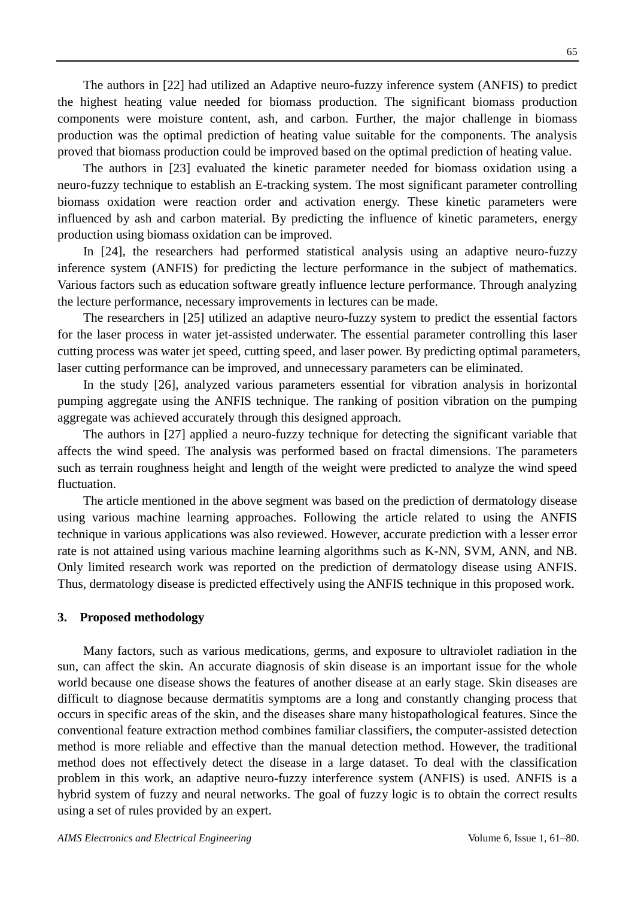The authors in [22] had utilized an Adaptive neuro-fuzzy inference system (ANFIS) to predict the highest heating value needed for biomass production. The significant biomass production components were moisture content, ash, and carbon. Further, the major challenge in biomass production was the optimal prediction of heating value suitable for the components. The analysis proved that biomass production could be improved based on the optimal prediction of heating value.

The authors in [23] evaluated the kinetic parameter needed for biomass oxidation using a neuro-fuzzy technique to establish an E-tracking system. The most significant parameter controlling biomass oxidation were reaction order and activation energy. These kinetic parameters were influenced by ash and carbon material. By predicting the influence of kinetic parameters, energy production using biomass oxidation can be improved.

In [24], the researchers had performed statistical analysis using an adaptive neuro-fuzzy inference system (ANFIS) for predicting the lecture performance in the subject of mathematics. Various factors such as education software greatly influence lecture performance. Through analyzing the lecture performance, necessary improvements in lectures can be made.

The researchers in [25] utilized an adaptive neuro-fuzzy system to predict the essential factors for the laser process in water jet-assisted underwater. The essential parameter controlling this laser cutting process was water jet speed, cutting speed, and laser power. By predicting optimal parameters, laser cutting performance can be improved, and unnecessary parameters can be eliminated.

In the study [26], analyzed various parameters essential for vibration analysis in horizontal pumping aggregate using the ANFIS technique. The ranking of position vibration on the pumping aggregate was achieved accurately through this designed approach.

The authors in [27] applied a neuro-fuzzy technique for detecting the significant variable that affects the wind speed. The analysis was performed based on fractal dimensions. The parameters such as terrain roughness height and length of the weight were predicted to analyze the wind speed fluctuation.

The article mentioned in the above segment was based on the prediction of dermatology disease using various machine learning approaches. Following the article related to using the ANFIS technique in various applications was also reviewed. However, accurate prediction with a lesser error rate is not attained using various machine learning algorithms such as K-NN, SVM, ANN, and NB. Only limited research work was reported on the prediction of dermatology disease using ANFIS. Thus, dermatology disease is predicted effectively using the ANFIS technique in this proposed work.

## **3. Proposed methodology**

Many factors, such as various medications, germs, and exposure to ultraviolet radiation in the sun, can affect the skin. An accurate diagnosis of skin disease is an important issue for the whole world because one disease shows the features of another disease at an early stage. Skin diseases are difficult to diagnose because dermatitis symptoms are a long and constantly changing process that occurs in specific areas of the skin, and the diseases share many histopathological features. Since the conventional feature extraction method combines familiar classifiers, the computer-assisted detection method is more reliable and effective than the manual detection method. However, the traditional method does not effectively detect the disease in a large dataset. To deal with the classification problem in this work, an adaptive neuro-fuzzy interference system (ANFIS) is used. ANFIS is a hybrid system of fuzzy and neural networks. The goal of fuzzy logic is to obtain the correct results using a set of rules provided by an expert.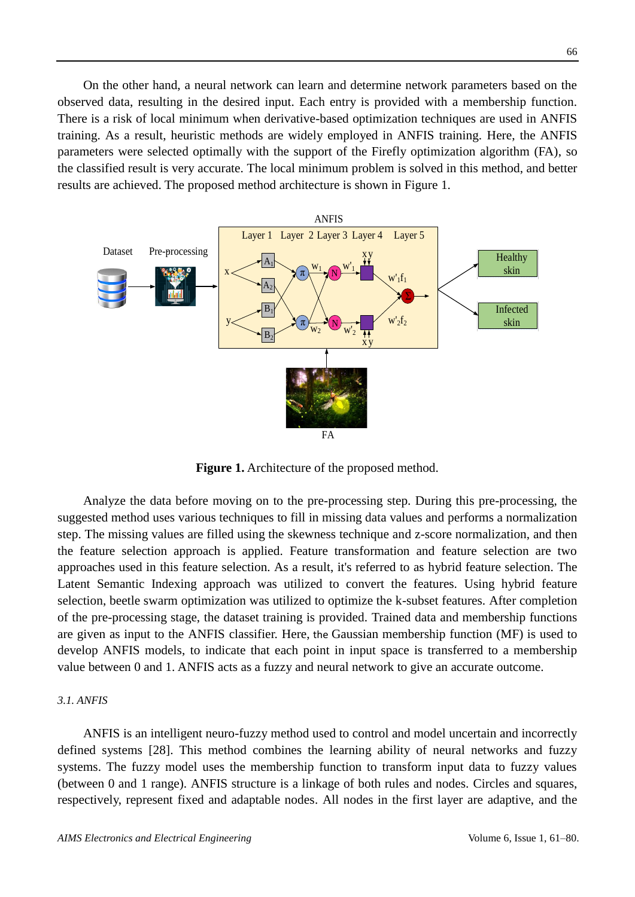On the other hand, a neural network can learn and determine network parameters based on the observed data, resulting in the desired input. Each entry is provided with a membership function. There is a risk of local minimum when derivative-based optimization techniques are used in ANFIS training. As a result, heuristic methods are widely employed in ANFIS training. Here, the ANFIS parameters were selected optimally with the support of the Firefly optimization algorithm (FA), so the classified result is very accurate. The local minimum problem is solved in this method, and better results are achieved. The proposed method architecture is shown in Figure 1.



**Figure 1.** Architecture of the proposed method.

Analyze the data before moving on to the pre-processing step. During this pre-processing, the suggested method uses various techniques to fill in missing data values and performs a normalization step. The missing values are filled using the skewness technique and z-score normalization, and then the feature selection approach is applied. Feature transformation and feature selection are two approaches used in this feature selection. As a result, it's referred to as hybrid feature selection. The Latent Semantic Indexing approach was utilized to convert the features. Using hybrid feature selection, beetle swarm optimization was utilized to optimize the k-subset features. After completion of the pre-processing stage, the dataset training is provided. Trained data and membership functions are given as input to the ANFIS classifier. Here, the Gaussian membership function (MF) is used to develop ANFIS models, to indicate that each point in input space is transferred to a membership value between 0 and 1. ANFIS acts as a fuzzy and neural network to give an accurate outcome.

#### *3.1. ANFIS*

ANFIS is an intelligent neuro-fuzzy method used to control and model uncertain and incorrectly defined systems [28]. This method combines the learning ability of neural networks and fuzzy systems. The fuzzy model uses the membership function to transform input data to fuzzy values (between 0 and 1 range). ANFIS structure is a linkage of both rules and nodes. Circles and squares, respectively, represent fixed and adaptable nodes. All nodes in the first layer are adaptive, and the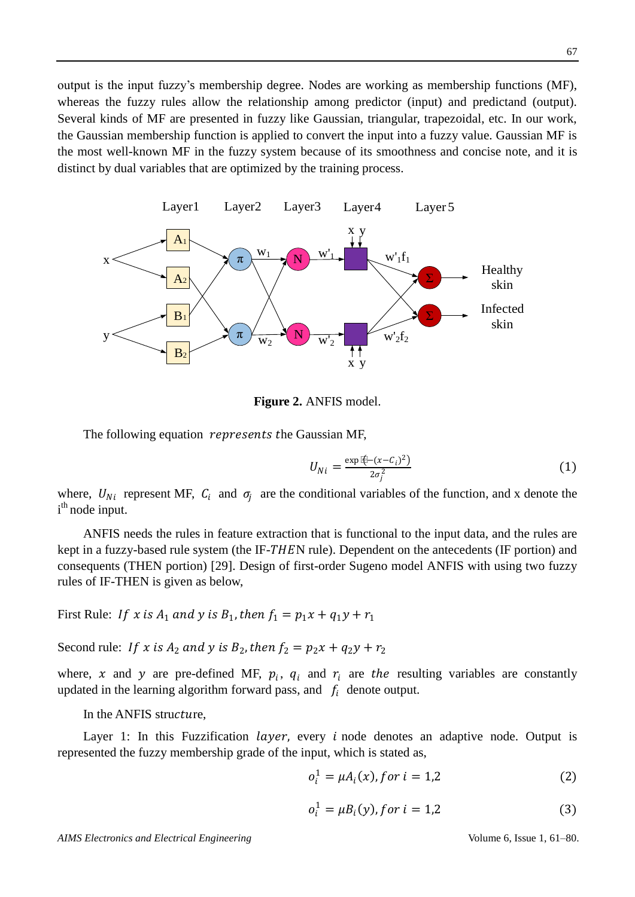output is the input fuzzy's membership degree. Nodes are working as membership functions (MF), whereas the fuzzy rules allow the relationship among predictor (input) and predictand (output). Several kinds of MF are presented in fuzzy like Gaussian, triangular, trapezoidal, etc. In our work, the Gaussian membership function is applied to convert the input into a fuzzy value. Gaussian MF is the most well-known MF in the fuzzy system because of its smoothness and concise note, and it is distinct by dual variables that are optimized by the training process.



**Figure 2.** ANFIS model.

The following equation *represents the Gaussian MF*,

$$
U_{Ni} = \frac{\exp{\frac{r(t)}{(x - C_i)^2}}}{2\sigma_i^2}
$$
 (1)

where,  $U_{Ni}$  represent MF,  $C_i$  and  $\sigma_j$  are the conditional variables of the function, and x denote the i<sup>th</sup> node input.

ANFIS needs the rules in feature extraction that is functional to the input data, and the rules are kept in a fuzzy-based rule system (the IF-THEN rule). Dependent on the antecedents (IF portion) and consequents (THEN portion) [29]. Design of first-order Sugeno model ANFIS with using two fuzzy rules of IF-THEN is given as below,

First Rule: If x is  $A_1$  and y is  $B_1$ , then  $f_1 = p_1 x + q_1 y + r_1$ 

Second rule: If x is  $A_2$  and y is  $B_2$ , then  $f_2 = p_2x + q_2y + r_2$ 

where, x and y are pre-defined MF,  $p_i$ ,  $q_i$  and  $r_i$  are the resulting variables are constantly updated in the learning algorithm forward pass, and  $f_i$  denote output.

In the ANFIS structure,

Layer 1: In this Fuzzification *layer*, every *i* node denotes an adaptive node. Output is represented the fuzzy membership grade of the input, which is stated as,

$$
o_i^1 = \mu A_i(x), \text{for } i = 1, 2 \tag{2}
$$

$$
o_i^1 = \mu B_i(y), \text{for } i = 1, 2 \tag{3}
$$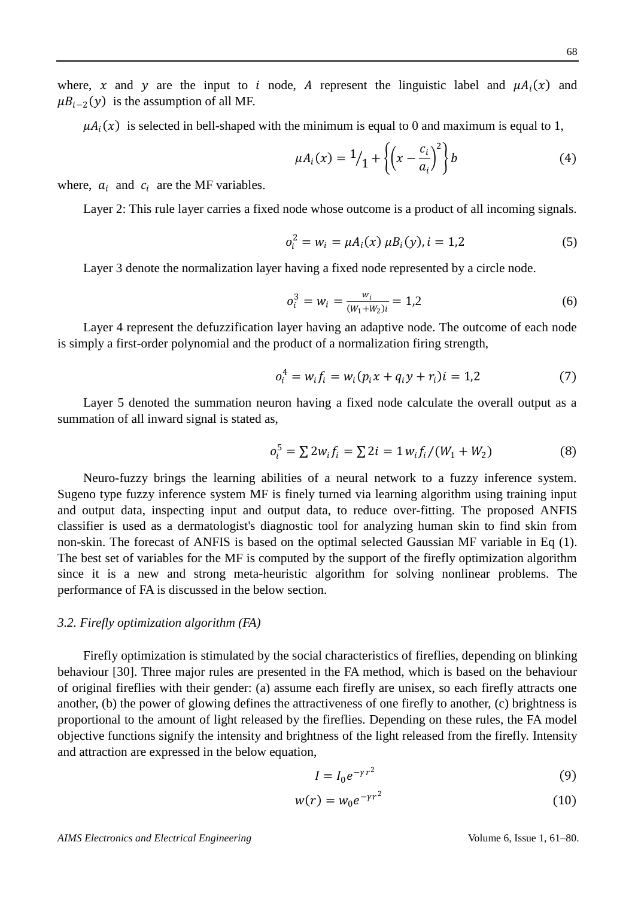where, x and y are the input to i node, A represent the linguistic label and  $\mu A_i(x)$  and  $\mu B_{i-2}(y)$  is the assumption of all MF.

 $\mu A_i(x)$  is selected in bell-shaped with the minimum is equal to 0 and maximum is equal to 1,

$$
\mu A_i(x) = \frac{1}{1} + \left\{ \left( x - \frac{c_i}{a_i} \right)^2 \right\} b \tag{4}
$$

where,  $a_i$  and  $c_i$  are the MF variables.

Layer 2: This rule layer carries a fixed node whose outcome is a product of all incoming signals.

$$
o_i^2 = w_i = \mu A_i(x) \mu B_i(y), i = 1,2
$$
 (5)

Layer 3 denote the normalization layer having a fixed node represented by a circle node.

$$
o_i^3 = w_i = \frac{w_i}{(W_1 + W_2)i} = 1,2
$$
 (6)

Layer 4 represent the defuzzification layer having an adaptive node. The outcome of each node is simply a first-order polynomial and the product of a normalization firing strength,

$$
o_i^4 = w_i f_i = w_i (p_i x + q_i y + r_i) i = 1,2
$$
\n(7)

Layer 5 denoted the summation neuron having a fixed node calculate the overall output as a summation of all inward signal is stated as,

$$
o_i^5 = \sum 2w_i f_i = \sum 2i = 1 w_i f_i / (W_1 + W_2)
$$
 (8)

Neuro-fuzzy brings the learning abilities of a neural network to a fuzzy inference system. Sugeno type fuzzy inference system MF is finely turned via learning algorithm using training input and output data, inspecting input and output data, to reduce over-fitting. The proposed ANFIS classifier is used as a dermatologist's diagnostic tool for analyzing human skin to find skin from non-skin. The forecast of ANFIS is based on the optimal selected Gaussian MF variable in Eq (1). The best set of variables for the MF is computed by the support of the firefly optimization algorithm since it is a new and strong meta-heuristic algorithm for solving nonlinear problems. The performance of FA is discussed in the below section.

#### *3.2. Firefly optimization algorithm (FA)*

Firefly optimization is stimulated by the social characteristics of fireflies, depending on blinking behaviour [30]. Three major rules are presented in the FA method, which is based on the behaviour of original fireflies with their gender: (a) assume each firefly are unisex, so each firefly attracts one another, (b) the power of glowing defines the attractiveness of one firefly to another, (c) brightness is proportional to the amount of light released by the fireflies. Depending on these rules, the FA model objective functions signify the intensity and brightness of the light released from the firefly. Intensity and attraction are expressed in the below equation,

$$
I = I_0 e^{-\gamma r^2} \tag{9}
$$

$$
w(r) = w_0 e^{-\gamma r^2} \tag{10}
$$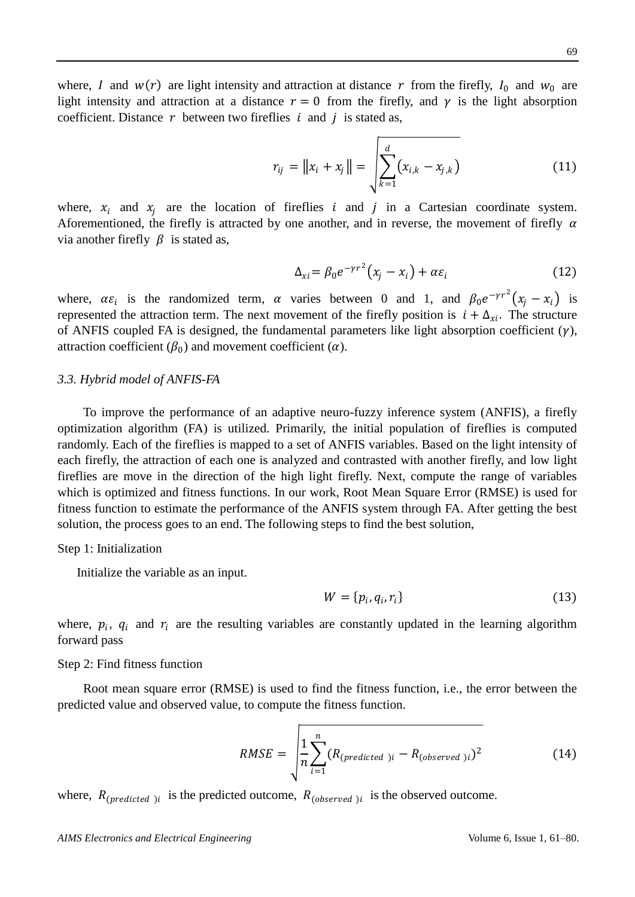where, I and  $w(r)$  are light intensity and attraction at distance r from the firefly,  $I_0$  and  $w_0$  are light intensity and attraction at a distance  $r = 0$  from the firefly, and  $\gamma$  is the light absorption coefficient. Distance  $r$  between two fireflies  $i$  and  $j$  is stated as,

$$
r_{ij} = \|x_i + x_j\| = \sqrt{\sum_{k=1}^d (x_{i,k} - x_{j,k})}
$$
(11)

where,  $x_i$  and  $x_j$  are the location of fireflies i and j in a Cartesian coordinate system. Aforementioned, the firefly is attracted by one another, and in reverse, the movement of firefly  $\alpha$ via another firefly  $\beta$  is stated as,

$$
\Delta_{xi} = \beta_0 e^{-\gamma r^2} (x_j - x_i) + \alpha \varepsilon_i \tag{12}
$$

where,  $\alpha \varepsilon_i$  is the randomized term,  $\alpha$  varies between 0 and 1, and  $\beta_0 e^{-\gamma r^2} (x_j - x_i)$  is represented the attraction term. The next movement of the firefly position is  $i + \Delta_{xi}$ . The structure of ANFIS coupled FA is designed, the fundamental parameters like light absorption coefficient  $(\gamma)$ , attraction coefficient ( $\beta_0$ ) and movement coefficient ( $\alpha$ ).

#### *3.3. Hybrid model of ANFIS-FA*

To improve the performance of an adaptive neuro-fuzzy inference system (ANFIS), a firefly optimization algorithm (FA) is utilized. Primarily, the initial population of fireflies is computed randomly. Each of the fireflies is mapped to a set of ANFIS variables. Based on the light intensity of each firefly, the attraction of each one is analyzed and contrasted with another firefly, and low light fireflies are move in the direction of the high light firefly. Next, compute the range of variables which is optimized and fitness functions. In our work, Root Mean Square Error (RMSE) is used for fitness function to estimate the performance of the ANFIS system through FA. After getting the best solution, the process goes to an end. The following steps to find the best solution,

#### Step 1: Initialization

Initialize the variable as an input.

$$
W = \{p_i, q_i, r_i\} \tag{13}
$$

where,  $p_i$ ,  $q_i$  and  $r_i$  are the resulting variables are constantly updated in the learning algorithm forward pass

#### Step 2: Find fitness function

Root mean square error (RMSE) is used to find the fitness function, i.e., the error between the predicted value and observed value, to compute the fitness function.

$$
RMSE = \sqrt{\frac{1}{n} \sum_{i=1}^{n} (R_{(predicted\ )i} - R_{(observed\ )i})^2}
$$
 (14)

where,  $R_{(predicted)}$  is the predicted outcome,  $R_{(observed)}$  is the observed outcome.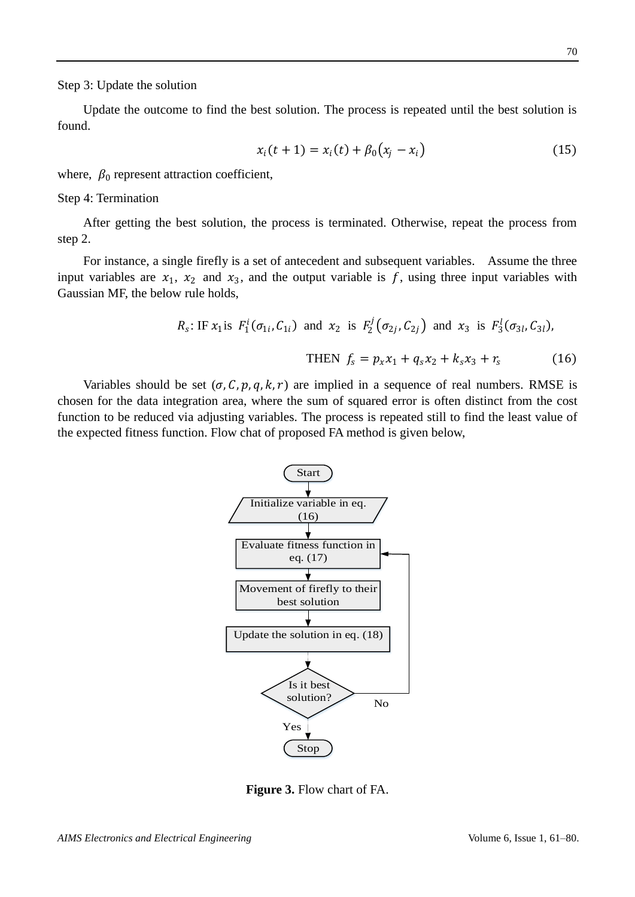Step 3: Update the solution

Update the outcome to find the best solution. The process is repeated until the best solution is found.

$$
x_i(t+1) = x_i(t) + \beta_0(x_j - x_i)
$$
 (15)

where,  $\beta_0$  represent attraction coefficient,

Step 4: Termination

After getting the best solution, the process is terminated. Otherwise, repeat the process from step 2.

For instance, a single firefly is a set of antecedent and subsequent variables. Assume the three input variables are  $x_1$ ,  $x_2$  and  $x_3$ , and the output variable is f, using three input variables with Gaussian MF, the below rule holds,

$$
R_s: \text{IF } x_1 \text{ is } F_1^i(\sigma_{1i}, C_{1i}) \text{ and } x_2 \text{ is } F_2^j(\sigma_{2j}, C_{2j}) \text{ and } x_3 \text{ is } F_3^l(\sigma_{3l}, C_{3l}),
$$
  
THEN  $f_s = p_x x_1 + q_s x_2 + k_s x_3 + r_s$  (16)

Variables should be set  $(\sigma, C, p, q, k, r)$  are implied in a sequence of real numbers. RMSE is chosen for the data integration area, where the sum of squared error is often distinct from the cost function to be reduced via adjusting variables. The process is repeated still to find the least value of the expected fitness function. Flow chat of proposed FA method is given below,



**Figure 3.** Flow chart of FA.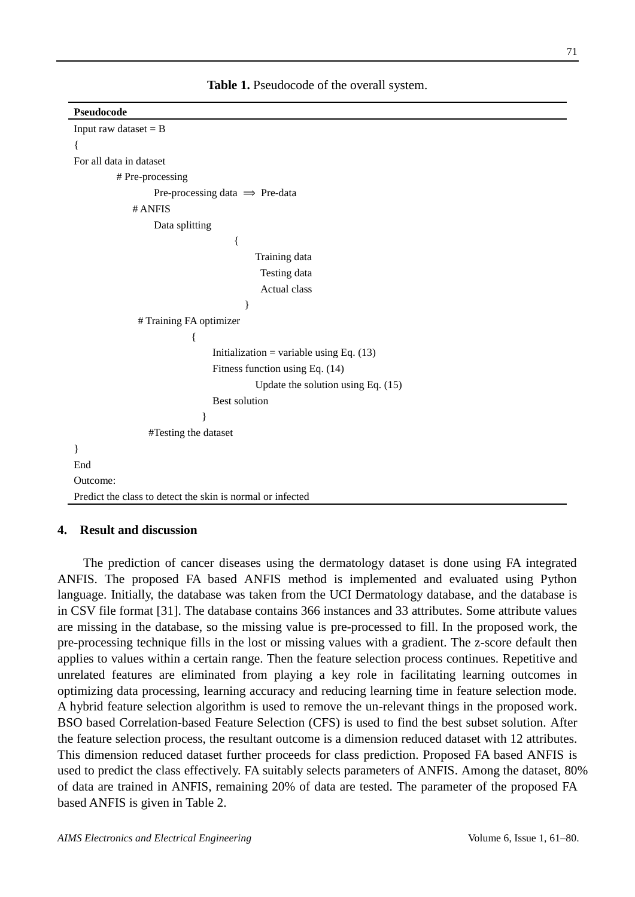| Pseudocode                                                 |  |  |  |  |  |
|------------------------------------------------------------|--|--|--|--|--|
| Input raw dataset $= B$                                    |  |  |  |  |  |
|                                                            |  |  |  |  |  |
| For all data in dataset                                    |  |  |  |  |  |
| # Pre-processing                                           |  |  |  |  |  |
| Pre-processing data $\implies$ Pre-data                    |  |  |  |  |  |
| # ANFIS                                                    |  |  |  |  |  |
| Data splitting                                             |  |  |  |  |  |
| $\{$                                                       |  |  |  |  |  |
| Training data                                              |  |  |  |  |  |
| Testing data                                               |  |  |  |  |  |
| Actual class                                               |  |  |  |  |  |
| ∤                                                          |  |  |  |  |  |
| # Training FA optimizer                                    |  |  |  |  |  |
| {                                                          |  |  |  |  |  |
| Initialization = variable using Eq. $(13)$                 |  |  |  |  |  |
| Fitness function using Eq. (14)                            |  |  |  |  |  |
| Update the solution using Eq. $(15)$                       |  |  |  |  |  |
| <b>Best solution</b>                                       |  |  |  |  |  |
| ∤                                                          |  |  |  |  |  |
| #Testing the dataset                                       |  |  |  |  |  |
|                                                            |  |  |  |  |  |
| End                                                        |  |  |  |  |  |
| Outcome:                                                   |  |  |  |  |  |
| Predict the class to detect the skin is normal or infected |  |  |  |  |  |
|                                                            |  |  |  |  |  |

## **4. Result and discussion**

The prediction of cancer diseases using the dermatology dataset is done using FA integrated ANFIS. The proposed FA based ANFIS method is implemented and evaluated using Python language. Initially, the database was taken from the UCI Dermatology database, and the database is in CSV file format [31]. The database contains 366 instances and 33 attributes. Some attribute values are missing in the database, so the missing value is pre-processed to fill. In the proposed work, the pre-processing technique fills in the lost or missing values with a gradient. The z-score default then applies to values within a certain range. Then the feature selection process continues. Repetitive and unrelated features are eliminated from playing a key role in facilitating learning outcomes in optimizing data processing, learning accuracy and reducing learning time in feature selection mode. A hybrid feature selection algorithm is used to remove the un-relevant things in the proposed work. BSO based Correlation-based Feature Selection (CFS) is used to find the best subset solution. After the feature selection process, the resultant outcome is a dimension reduced dataset with 12 attributes. This dimension reduced dataset further proceeds for class prediction. Proposed FA based ANFIS is used to predict the class effectively. FA suitably selects parameters of ANFIS. Among the dataset, 80% of data are trained in ANFIS, remaining 20% of data are tested. The parameter of the proposed FA based ANFIS is given in Table 2.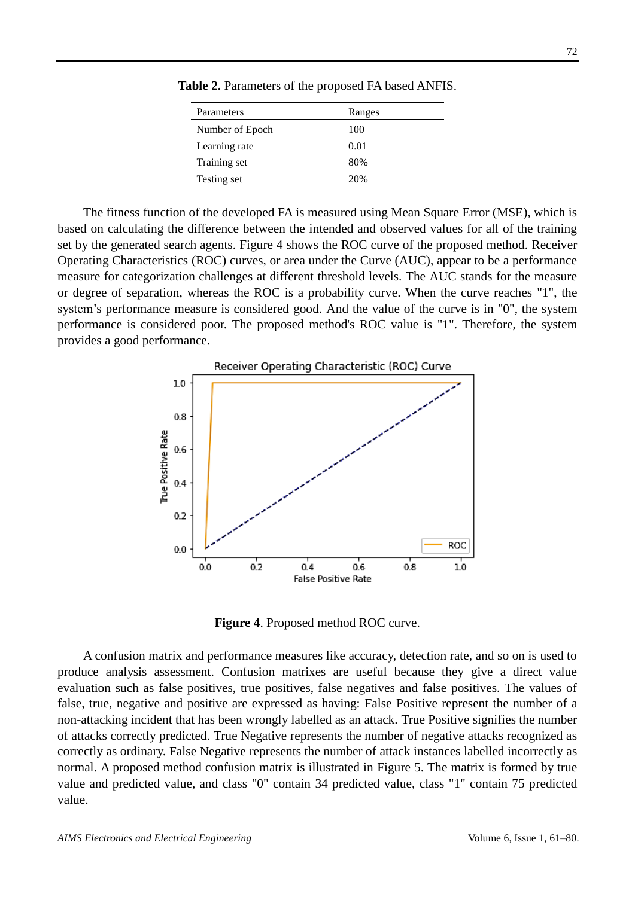| Parameters      | Ranges |
|-----------------|--------|
| Number of Epoch | 100    |
| Learning rate   | 0.01   |
| Training set    | 80%    |
| Testing set     | 20%    |

**Table 2.** Parameters of the proposed FA based ANFIS.

The fitness function of the developed FA is measured using Mean Square Error (MSE), which is based on calculating the difference between the intended and observed values for all of the training set by the generated search agents. Figure 4 shows the ROC curve of the proposed method. Receiver Operating Characteristics (ROC) curves, or area under the Curve (AUC), appear to be a performance measure for categorization challenges at different threshold levels. The AUC stands for the measure or degree of separation, whereas the ROC is a probability curve. When the curve reaches "1", the system's performance measure is considered good. And the value of the curve is in "0", the system performance is considered poor. The proposed method's ROC value is "1". Therefore, the system provides a good performance.



**Figure 4**. Proposed method ROC curve.

A confusion matrix and performance measures like accuracy, detection rate, and so on is used to produce analysis assessment. Confusion matrixes are useful because they give a direct value evaluation such as false positives, true positives, false negatives and false positives. The values of false, true, negative and positive are expressed as having: False Positive represent the number of a non-attacking incident that has been wrongly labelled as an attack. True Positive signifies the number of attacks correctly predicted. True Negative represents the number of negative attacks recognized as correctly as ordinary. False Negative represents the number of attack instances labelled incorrectly as normal. A proposed method confusion matrix is illustrated in Figure 5. The matrix is formed by true value and predicted value, and class "0" contain 34 predicted value, class "1" contain 75 predicted value.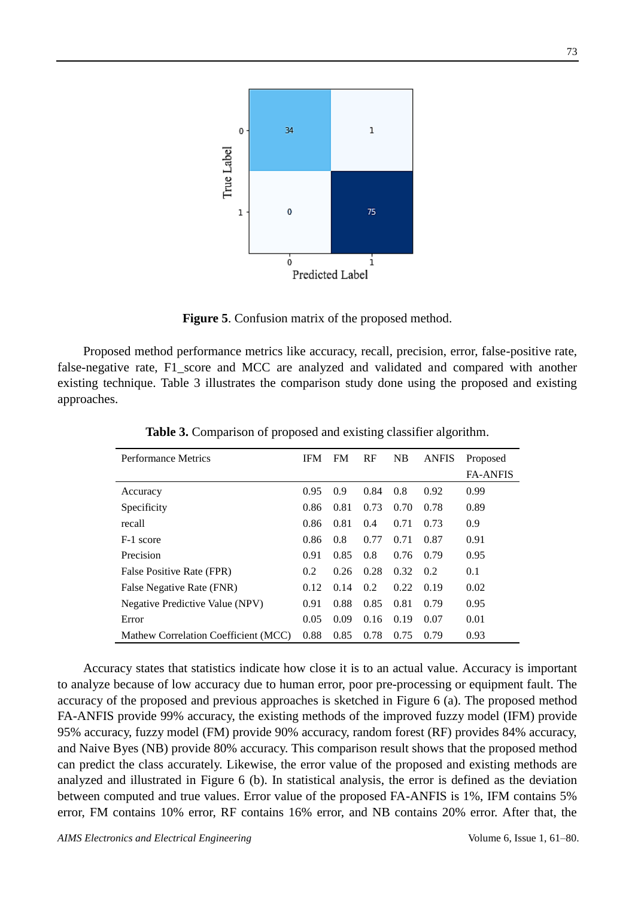

**Figure 5**. Confusion matrix of the proposed method.

Proposed method performance metrics like accuracy, recall, precision, error, false-positive rate, false-negative rate, F1\_score and MCC are analyzed and validated and compared with another existing technique. Table 3 illustrates the comparison study done using the proposed and existing approaches.

| Performance Metrics                  | <b>IFM</b> | <b>FM</b> | RF   | NB   | <b>ANFIS</b> | Proposed<br><b>FA-ANFIS</b> |
|--------------------------------------|------------|-----------|------|------|--------------|-----------------------------|
| Accuracy                             | 0.95       | 0.9       | 0.84 | 0.8  | 0.92         | 0.99                        |
| Specificity                          | 0.86       | 0.81      | 0.73 | 0.70 | 0.78         | 0.89                        |
| recall                               | 0.86       | 0.81      | 0.4  | 0.71 | 0.73         | 0.9                         |
| F-1 score                            | 0.86       | 0.8       | 0.77 | 0.71 | 0.87         | 0.91                        |
| Precision                            | 0.91       | 0.85      | 0.8  | 0.76 | 0.79         | 0.95                        |
| False Positive Rate (FPR)            | 0.2        | 0.26      | 0.28 | 0.32 | 0.2          | 0.1                         |
| False Negative Rate (FNR)            | 0.12       | 0.14      | 0.2  | 0.22 | 0.19         | 0.02                        |
| Negative Predictive Value (NPV)      | 0.91       | 0.88      | 0.85 | 0.81 | 0.79         | 0.95                        |
| Error                                | 0.05       | 0.09      | 0.16 | 0.19 | 0.07         | 0.01                        |
| Mathew Correlation Coefficient (MCC) | 0.88       | 0.85      | 0.78 | 0.75 | 0.79         | 0.93                        |

**Table 3.** Comparison of proposed and existing classifier algorithm.

Accuracy states that statistics indicate how close it is to an actual value. Accuracy is important to analyze because of low accuracy due to human error, poor pre-processing or equipment fault. The accuracy of the proposed and previous approaches is sketched in Figure 6 (a). The proposed method FA-ANFIS provide 99% accuracy, the existing methods of the improved fuzzy model (IFM) provide 95% accuracy, fuzzy model (FM) provide 90% accuracy, random forest (RF) provides 84% accuracy, and Naive Byes (NB) provide 80% accuracy. This comparison result shows that the proposed method can predict the class accurately. Likewise, the error value of the proposed and existing methods are analyzed and illustrated in Figure 6 (b). In statistical analysis, the error is defined as the deviation between computed and true values. Error value of the proposed FA-ANFIS is 1%, IFM contains 5% error, FM contains 10% error, RF contains 16% error, and NB contains 20% error. After that, the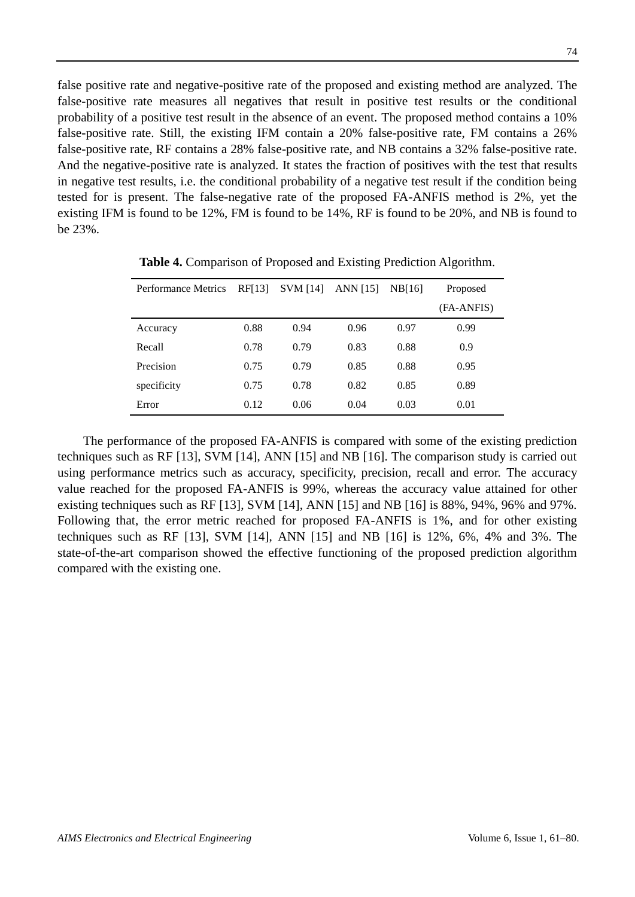false positive rate and negative-positive rate of the proposed and existing method are analyzed. The false-positive rate measures all negatives that result in positive test results or the conditional probability of a positive test result in the absence of an event. The proposed method contains a 10% false-positive rate. Still, the existing IFM contain a 20% false-positive rate, FM contains a 26% false-positive rate, RF contains a 28% false-positive rate, and NB contains a 32% false-positive rate. And the negative-positive rate is analyzed. It states the fraction of positives with the test that results in negative test results, i.e. the conditional probability of a negative test result if the condition being tested for is present. The false-negative rate of the proposed FA-ANFIS method is 2%, yet the existing IFM is found to be 12%, FM is found to be 14%, RF is found to be 20%, and NB is found to be 23%.

| <b>Performance Metrics</b> | RF[13] | <b>SVM</b> [14] | ANN [15] | NB[16] | Proposed   |  |
|----------------------------|--------|-----------------|----------|--------|------------|--|
|                            |        |                 |          |        | (FA-ANFIS) |  |
| Accuracy                   | 0.88   | 0.94            | 0.96     | 0.97   | 0.99       |  |
| Recall                     | 0.78   | 0.79            | 0.83     | 0.88   | 0.9        |  |
| Precision                  | 0.75   | 0.79            | 0.85     | 0.88   | 0.95       |  |
| specificity                | 0.75   | 0.78            | 0.82     | 0.85   | 0.89       |  |
| Error                      | 0.12   | 0.06            | 0.04     | 0.03   | 0.01       |  |

**Table 4.** Comparison of Proposed and Existing Prediction Algorithm.

The performance of the proposed FA-ANFIS is compared with some of the existing prediction techniques such as RF [13], SVM [14], ANN [15] and NB [16]. The comparison study is carried out using performance metrics such as accuracy, specificity, precision, recall and error. The accuracy value reached for the proposed FA-ANFIS is 99%, whereas the accuracy value attained for other existing techniques such as RF [13], SVM [14], ANN [15] and NB [16] is 88%, 94%, 96% and 97%. Following that, the error metric reached for proposed FA-ANFIS is 1%, and for other existing techniques such as RF [13], SVM [14], ANN [15] and NB [16] is 12%, 6%, 4% and 3%. The state-of-the-art comparison showed the effective functioning of the proposed prediction algorithm compared with the existing one.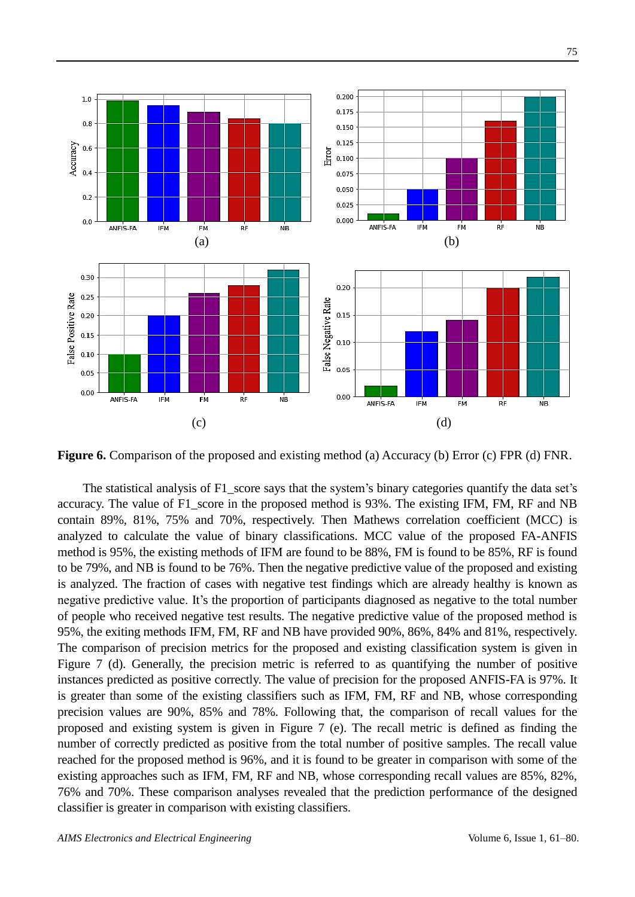

**Figure 6.** Comparison of the proposed and existing method (a) Accuracy (b) Error (c) FPR (d) FNR.

The statistical analysis of F1\_score says that the system's binary categories quantify the data set's accuracy. The value of F1 score in the proposed method is 93%. The existing IFM, FM, RF and NB contain 89%, 81%, 75% and 70%, respectively. Then Mathews correlation coefficient (MCC) is analyzed to calculate the value of binary classifications. MCC value of the proposed FA-ANFIS method is 95%, the existing methods of IFM are found to be 88%, FM is found to be 85%, RF is found to be 79%, and NB is found to be 76%. Then the negative predictive value of the proposed and existing is analyzed. The fraction of cases with negative test findings which are already healthy is known as negative predictive value. It's the proportion of participants diagnosed as negative to the total number of people who received negative test results. The negative predictive value of the proposed method is 95%, the exiting methods IFM, FM, RF and NB have provided 90%, 86%, 84% and 81%, respectively. The comparison of precision metrics for the proposed and existing classification system is given in Figure 7 (d). Generally, the precision metric is referred to as quantifying the number of positive instances predicted as positive correctly. The value of precision for the proposed ANFIS-FA is 97%. It is greater than some of the existing classifiers such as IFM, FM, RF and NB, whose corresponding precision values are 90%, 85% and 78%. Following that, the comparison of recall values for the proposed and existing system is given in Figure 7 (e). The recall metric is defined as finding the number of correctly predicted as positive from the total number of positive samples. The recall value reached for the proposed method is 96%, and it is found to be greater in comparison with some of the existing approaches such as IFM, FM, RF and NB, whose corresponding recall values are 85%, 82%, 76% and 70%. These comparison analyses revealed that the prediction performance of the designed classifier is greater in comparison with existing classifiers.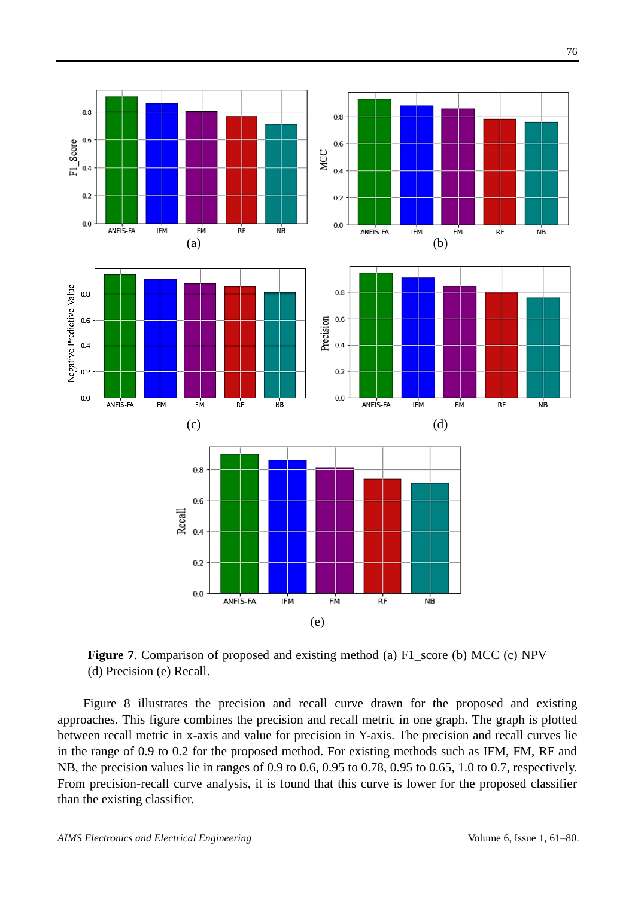

**Figure 7**. Comparison of proposed and existing method (a) F1\_score (b) MCC (c) NPV (d) Precision (e) Recall.

Figure 8 illustrates the precision and recall curve drawn for the proposed and existing approaches. This figure combines the precision and recall metric in one graph. The graph is plotted between recall metric in x-axis and value for precision in Y-axis. The precision and recall curves lie in the range of 0.9 to 0.2 for the proposed method. For existing methods such as IFM, FM, RF and NB, the precision values lie in ranges of 0.9 to 0.6, 0.95 to 0.78, 0.95 to 0.65, 1.0 to 0.7, respectively. From precision-recall curve analysis, it is found that this curve is lower for the proposed classifier than the existing classifier.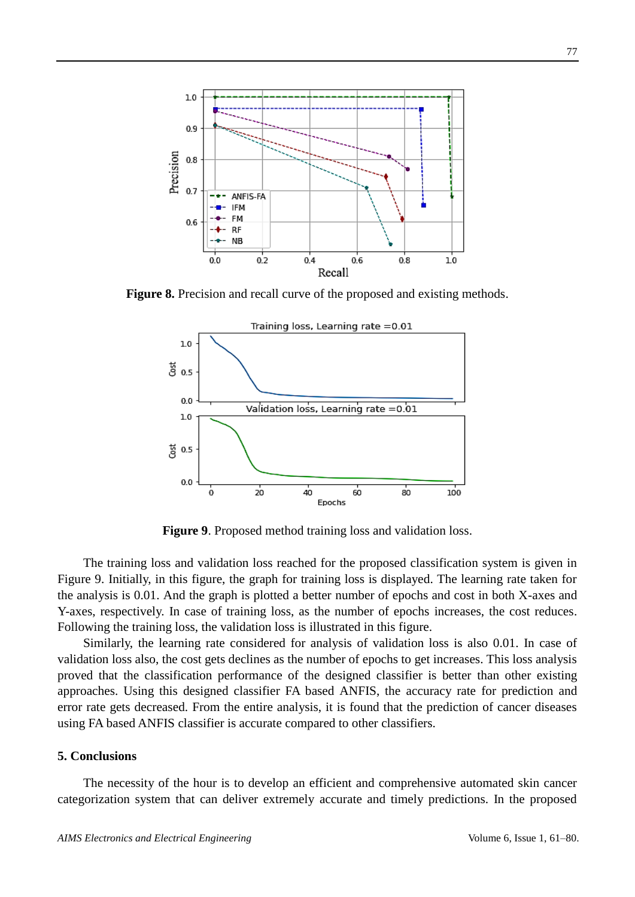

**Figure 8.** Precision and recall curve of the proposed and existing methods.



**Figure 9**. Proposed method training loss and validation loss.

The training loss and validation loss reached for the proposed classification system is given in Figure 9. Initially, in this figure, the graph for training loss is displayed. The learning rate taken for the analysis is 0.01. And the graph is plotted a better number of epochs and cost in both X-axes and Y-axes, respectively. In case of training loss, as the number of epochs increases, the cost reduces. Following the training loss, the validation loss is illustrated in this figure.

Similarly, the learning rate considered for analysis of validation loss is also 0.01. In case of validation loss also, the cost gets declines as the number of epochs to get increases. This loss analysis proved that the classification performance of the designed classifier is better than other existing approaches. Using this designed classifier FA based ANFIS, the accuracy rate for prediction and error rate gets decreased. From the entire analysis, it is found that the prediction of cancer diseases using FA based ANFIS classifier is accurate compared to other classifiers.

#### **5. Conclusions**

The necessity of the hour is to develop an efficient and comprehensive automated skin cancer categorization system that can deliver extremely accurate and timely predictions. In the proposed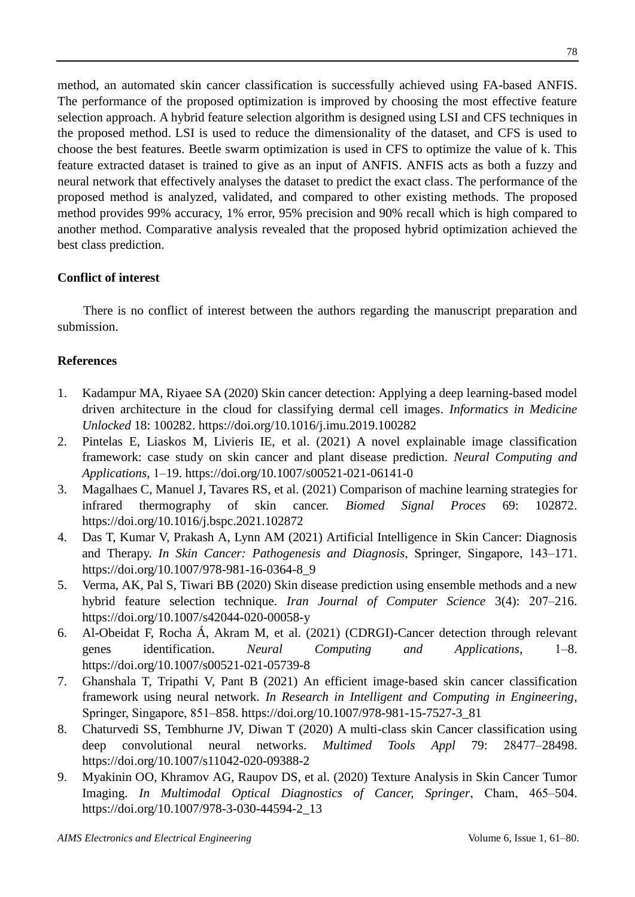method, an automated skin cancer classification is successfully achieved using FA-based ANFIS. The performance of the proposed optimization is improved by choosing the most effective feature selection approach. A hybrid feature selection algorithm is designed using LSI and CFS techniques in the proposed method. LSI is used to reduce the dimensionality of the dataset, and CFS is used to choose the best features. Beetle swarm optimization is used in CFS to optimize the value of k. This feature extracted dataset is trained to give as an input of ANFIS. ANFIS acts as both a fuzzy and neural network that effectively analyses the dataset to predict the exact class. The performance of the proposed method is analyzed, validated, and compared to other existing methods. The proposed method provides 99% accuracy, 1% error, 95% precision and 90% recall which is high compared to another method. Comparative analysis revealed that the proposed hybrid optimization achieved the best class prediction.

## **Conflict of interest**

There is no conflict of interest between the authors regarding the manuscript preparation and submission.

## **References**

- 1. Kadampur MA, Riyaee SA (2020) Skin cancer detection: Applying a deep learning-based model driven architecture in the cloud for classifying dermal cell images. *Informatics in Medicine Unlocked* 18: 100282. <https://doi.org/10.1016/j.imu.2019.100282>
- 2. Pintelas E, Liaskos M, Livieris IE, et al. (2021) A novel explainable image classification framework: case study on skin cancer and plant disease prediction. *Neural Computing and Applications*, 1‒19. <https://doi.org/10.1007/s00521-021-06141-0>
- 3. Magalhaes C, Manuel J, Tavares RS, et al. (2021) Comparison of machine learning strategies for infrared thermography of skin cancer. *Biomed Signal Proces* 69: 102872. <https://doi.org/10.1016/j.bspc.2021.102872>
- 4. Das T, Kumar V, Prakash A, Lynn AM (2021) Artificial Intelligence in Skin Cancer: Diagnosis and Therapy. *In Skin Cancer: Pathogenesis and Diagnosis*, Springer, Singapore, 143–171. [https://doi.org/10.1007/978-981-16-0364-8\\_9](https://doi.org/10.1007/978-981-16-0364-8_9)
- 5. Verma, AK, Pal S, Tiwari BB (2020) Skin disease prediction using ensemble methods and a new hybrid feature selection technique. *Iran Journal of Computer Science* 3(4): 207–216. <https://doi.org/10.1007/s42044-020-00058-y>
- 6. Al-Obeidat F, Rocha Á, Akram M, et al. (2021) (CDRGI)-Cancer detection through relevant genes identification. *Neural Computing and Applications*, 1‒8. <https://doi.org/10.1007/s00521-021-05739-8>
- 7. Ghanshala T, Tripathi V, Pant B (2021) An efficient image-based skin cancer classification framework using neural network. *In Research in Intelligent and Computing in Engineering*, Springer, Singapore, 851‒858. [https://doi.org/10.1007/978-981-15-7527-3\\_81](https://doi.org/10.1007/978-981-15-7527-3_81)
- 8. Chaturvedi SS, Tembhurne JV, Diwan T (2020) A multi-class skin Cancer classification using deep convolutional neural networks. *Multimed Tools Appl* 79: 28477–28498. <https://doi.org/10.1007/s11042-020-09388-2>
- 9. Myakinin OO, Khramov AG, Raupov DS, et al. (2020) Texture Analysis in Skin Cancer Tumor Imaging. *In Multimodal Optical Diagnostics of Cancer, Springer*, Cham, 465–504. [https://doi.org/10.1007/978-3-030-44594-2\\_13](https://doi.org/10.1007/978-3-030-44594-2_13)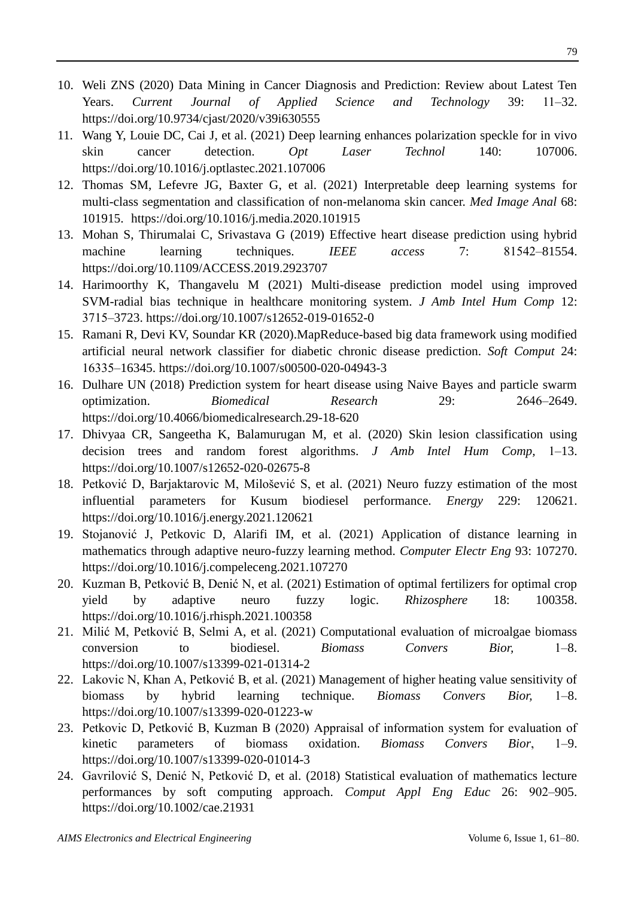- 10. Weli ZNS (2020) Data Mining in Cancer Diagnosis and Prediction: Review about Latest Ten Years. *Current Journal of Applied Science and Technology* 39: 11‒32. <https://doi.org/10.9734/cjast/2020/v39i630555>
- 11. Wang Y, Louie DC, Cai J, et al. (2021) Deep learning enhances polarization speckle for in vivo skin cancer detection. *Opt Laser Technol* 140: 107006. <https://doi.org/10.1016/j.optlastec.2021.107006>
- 12. Thomas SM, Lefevre JG, Baxter G, et al. (2021) Interpretable deep learning systems for multi-class segmentation and classification of non-melanoma skin cancer. *Med Image Anal* 68: 101915. <https://doi.org/10.1016/j.media.2020.101915>
- 13. Mohan S, Thirumalai C, Srivastava G (2019) Effective heart disease prediction using hybrid machine learning techniques. *IEEE access* 7: 81542–81554. <https://doi.org/10.1109/ACCESS.2019.2923707>
- 14. Harimoorthy K, Thangavelu M (2021) Multi-disease prediction model using improved SVM-radial bias technique in healthcare monitoring system. *J Amb Intel Hum Comp* 12: 3715‒3723. <https://doi.org/10.1007/s12652-019-01652-0>
- 15. Ramani R, Devi KV, Soundar KR (2020).MapReduce-based big data framework using modified artificial neural network classifier for diabetic chronic disease prediction. *Soft Comput* 24: 16335‒16345. <https://doi.org/10.1007/s00500-020-04943-3>
- 16. Dulhare UN (2018) Prediction system for heart disease using Naive Bayes and particle swarm optimization. *Biomedical Research* 29: 2646‒2649. <https://doi.org/10.4066/biomedicalresearch.29-18-620>
- 17. Dhivyaa CR, Sangeetha K, Balamurugan M, et al. (2020) Skin lesion classification using decision trees and random forest algorithms. *J Amb Intel Hum Comp*, 1–13. <https://doi.org/10.1007/s12652-020-02675-8>
- 18. Petković D, Barjaktarovic M, Milošević S, et al. (2021) Neuro fuzzy estimation of the most influential parameters for Kusum biodiesel performance. *Energy* 229: 120621. <https://doi.org/10.1016/j.energy.2021.120621>
- 19. Stojanović J, Petkovic D, Alarifi IM, et al. (2021) Application of distance learning in mathematics through adaptive neuro-fuzzy learning method. *Computer Electr Eng* 93: 107270. <https://doi.org/10.1016/j.compeleceng.2021.107270>
- 20. Kuzman B, Petković B, Denić N, et al. (2021) Estimation of optimal fertilizers for optimal crop yield by adaptive neuro fuzzy logic. *Rhizosphere* 18: 100358. <https://doi.org/10.1016/j.rhisph.2021.100358>
- 21. Milić M, Petković B, Selmi A, et al. (2021) Computational evaluation of microalgae biomass conversion to biodiesel. *Biomass Convers Bior,* 1‒8. <https://doi.org/10.1007/s13399-021-01314-2>
- 22. Lakovic N, Khan A, Petković B, et al. (2021) Management of higher heating value sensitivity of biomass by hybrid learning technique. *Biomass Convers Bior,* 1‒8. <https://doi.org/10.1007/s13399-020-01223-w>
- 23. Petkovic D, Petković B, Kuzman B (2020) Appraisal of information system for evaluation of kinetic parameters of biomass oxidation. *Biomass Convers Bior*, 1‒9. <https://doi.org/10.1007/s13399-020-01014-3>
- 24. Gavrilović S, Denić N, Petković D, et al. (2018) Statistical evaluation of mathematics lecture performances by soft computing approach. *Comput Appl Eng Educ* 26: 902‒905. <https://doi.org/10.1002/cae.21931>